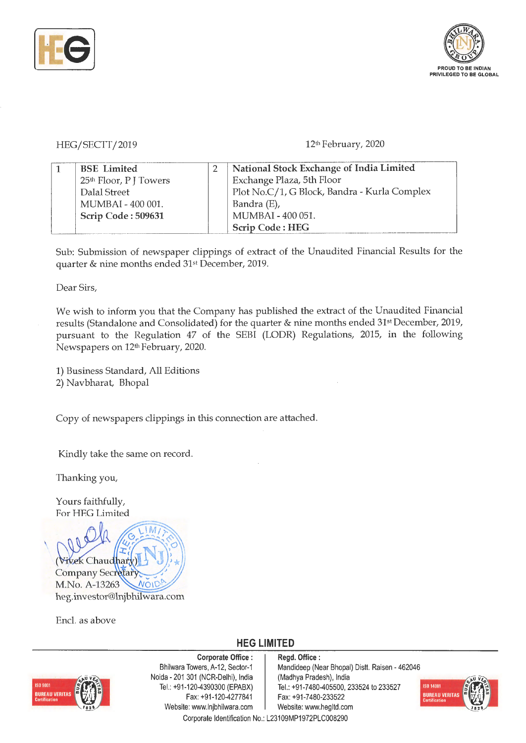



## HEG/SECTT/2019

## 12th February, 2020

| <b>BSE</b> Limited                 | National Stock Exchange of India Limited     |
|------------------------------------|----------------------------------------------|
| 25 <sup>th</sup> Floor, P J Towers | Exchange Plaza, 5th Floor                    |
| Dalal Street                       | Plot No.C/1, G Block, Bandra - Kurla Complex |
| MUMBAI - 400 001.                  | Bandra (E),                                  |
| Scrip Code: 509631                 | MUMBAI - 400 051.                            |
|                                    | <b>Scrip Code: HEG</b>                       |

Sub: Submission of newspaper clippings of extract of the Unaudited Financial Results for the quarter & nine months ended 31st December, 2019.

Dear Sirs,

We wish to inform you that the Company has published the extract of the Unaudited Financial results (Standalone and Consolidated) for the quarter & nine months ended 31st December, 2019, pursuant to the Regulation 47 of the SEBI (LODR) Regulations, 2015, in the following Newspapers on 12th February, 2020.

1) Business Standard, All Editions 2) Navbharat, Bhopal

Copy of newspapers clippings in this connection are attached.

Kindly take the same on record.

Thanking you,

Yours faithfully, For HEG Limited



Encl. as above

## **HEG LIMITED**



**Corporate Office** : Bhilwara Towers, A-12, Sector-1 Naida - 201 301 (NCR-Delhi), India Tel.: +91-120-4390300 (EPABX) Fax:+91 -120-4277841 Website: www.lnjbhilwara.com | Website: www.hegltd.com Corporate Identification No.: L23109MP1972PLC008290

**Regd. Office** : Mandideep (Near Bhopal) Distt. Raisen - 462046 (Madhya Pradesh), India Tel.: +91-7480-405500, 233524 to 233527 Fax: +91-7480-233522

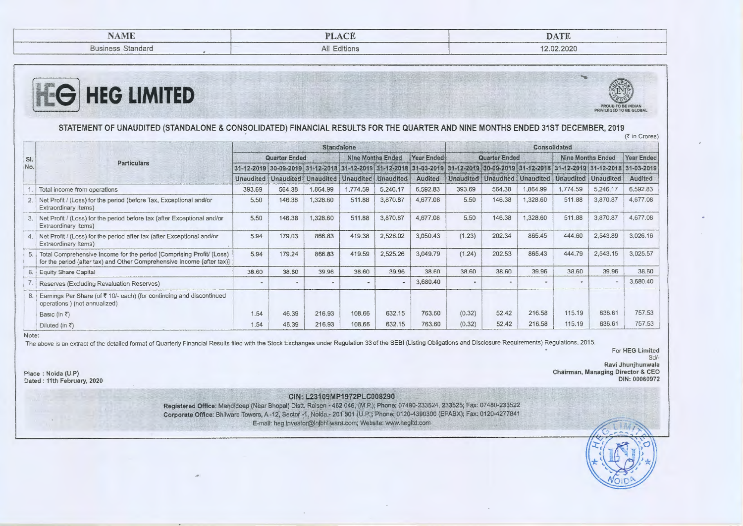| NAME                     | $\lambda$ $\sim$<br>PIA | DATE       |
|--------------------------|-------------------------|------------|
| <b>Business Standard</b> | All Editions            | 12.02.2020 |





STATEMENT OF UNAUDITED (STANDALONE & CONSOLIDATED) FINANCIAL RESULTS FOR THE QUARTER AND NINE MONTHS ENDED 31ST DECEMBER, 2019

· (~ in Crores)

|            | <b>Particulars</b>                                                                                                                                | <b>Standalone</b>    |                          |                          |                                                   |          |                |                      | Consolidated |                                                           |                          |                       |                                                                                                                                     |  |  |
|------------|---------------------------------------------------------------------------------------------------------------------------------------------------|----------------------|--------------------------|--------------------------|---------------------------------------------------|----------|----------------|----------------------|--------------|-----------------------------------------------------------|--------------------------|-----------------------|-------------------------------------------------------------------------------------------------------------------------------------|--|--|
| SI.<br>No. |                                                                                                                                                   | <b>Quarter Ended</b> |                          |                          | Year Ended<br><b>Nine Months Ended</b>            |          |                | <b>Quarter Ended</b> |              |                                                           | <b>Nine Months Ended</b> |                       | Year Ended                                                                                                                          |  |  |
|            |                                                                                                                                                   |                      |                          |                          |                                                   |          |                |                      |              |                                                           |                          |                       | 31-12-2019 30-09-2019 31-12-2018 31-12-2019 31-12-2018 31-03-2019 31-12-2019 30-09-2019 31-12-2019 31-12-2019 31-12-2019 31-12-2018 |  |  |
|            |                                                                                                                                                   |                      |                          |                          | Unaudited Unaudited Unaudited Unaudited Unaudited |          | <b>Audited</b> |                      |              | Unaudited   Unaudited   Unaudited   Unaudited   Unaudited |                          |                       | <b>Audited</b>                                                                                                                      |  |  |
|            | Total income from operations                                                                                                                      | 393.69               | 564.38                   | 1,864.99                 | 1,774.59                                          | 5,246.17 | 6,592.83       | 393.69               | 564.38       | ,864.99                                                   | 1,774.59                 | 5,246.17              | 6,592.83                                                                                                                            |  |  |
|            | Net Profit / (Loss) for the period (before Tax, Exceptional and/or<br>Extraordinary Items)                                                        | 5.50                 | 146.38                   | 1,328.60                 | 511.88                                            | 3,870.87 | 4,677.08       | 5.50                 | 146.38       | 1,328.60                                                  | 511.88                   | 3,870.87              | 4,677.08                                                                                                                            |  |  |
|            | 3. Net Profit / (Loss) for the period before tax (after Exceptional and/or<br>Extraordinary Items)                                                | 5.50                 | 146.38                   | 1,328.60                 | 511.88                                            | 3,870.87 | 4,677.08       | 5.50                 | 146.38       | 1,328.60                                                  | 511,88                   | 3,870.87              | 4,677.08                                                                                                                            |  |  |
|            | 4. Net Profit / (Loss) for the period after tax (after Exceptional and/or<br>Extraordinary Items)                                                 | 5.94                 | 179.03                   | 866.83                   | 419.38                                            | 2,526.02 | 3,050.43       | (1.23)               | 202.34       | 865.45                                                    | 444.60                   | 2,543.89              | 3,026.16                                                                                                                            |  |  |
|            | 5. Total Comprehensive Income for the period [Comprising Profit/ (Loss)<br>for the period (after tax) and Other Comprehensive Income (after tax)] | 5.94                 | 179.24                   | 866.83                   | 419.59                                            | 2,525.26 | 3,049.79       | (1.24)               | 202.53       | 865.43                                                    | 444.79                   | 2,543.15              | 3,025.57                                                                                                                            |  |  |
|            | 6. Equity Share Capital                                                                                                                           | 38.60                | 38.60                    | 39.96                    | 38.60                                             | 39.96    | 38.60          | 38.60                | 38.60        | 39.96                                                     | 38.60                    | 39.96                 | 38.60                                                                                                                               |  |  |
|            | Reserves (Excluding Revaluation Reserves)                                                                                                         |                      | $\overline{\phantom{a}}$ | $\overline{\phantom{a}}$ | $\sim$                                            | ٠        | 3,680.40       | $\sim$               |              |                                                           |                          | $\tilde{\phantom{a}}$ | 3,680.40                                                                                                                            |  |  |
| 8.1        | Eamings Per Share (of ₹10/- each) (for continuing and discontinued<br>operations ) (not annualized)                                               |                      |                          |                          |                                                   |          |                |                      |              |                                                           |                          |                       |                                                                                                                                     |  |  |
|            | Basic (in $\bar{z}$ )                                                                                                                             | 1.54                 | 46.39                    | 216.93                   | 108.66                                            | 632.15   | 763.60         | (0.32)               | 52.42        | 216.58                                                    | 115.19                   | 636.61                | 757.53                                                                                                                              |  |  |
|            | Diluted (in $\bar{x}$ )                                                                                                                           | 1.54                 | 46.39                    | 216.93                   | 108.66                                            | 632.15   | 763.60         | (0.32)               | 52.42        | 216.58                                                    | 115.19                   | 636.61                | 757.53                                                                                                                              |  |  |

Note:

-----<br>The above is an extract of the detailed format of Quarterly Financial Results filed with the Stock Exchanges under Regulation 33 of the SEBI (Listing Obligations and Disclosure Requirements) Regulations, 2015.

For HEG Limited Sci/-

Ravi Jhunjhunwala Chairman, Managing Director & CEO **DIN:** 00060972

Place: Noida (U.P) Dated : 11th February, 2020

**CIN:· L23109MP1972PLC008290** 

Registered Office: Mandideep (Near Bhopal) Distt. Raisen - 462 046; (M.P.); Phone: 07480-233524, 233525; Fax: 07480-233522 Corporate Office: Bhilwara Towers, A -12, Sector •1, Nolda• 201 301 (U.P.); Phone: 0120-4390300 (EPABX); Fax: 0120-4277841 E-mail: heg.investor@Injbhllwara.com; Website: www.hegltd.com